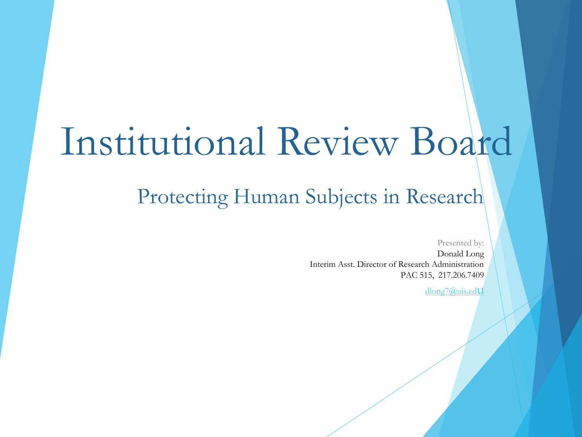# Institutional Review Board

### Protecting Human Subjects in Research

Presented by:

Donald Long Interim Asst. Director of Research Administration PAC 515, 217.206.7409

dlong7@uis.edU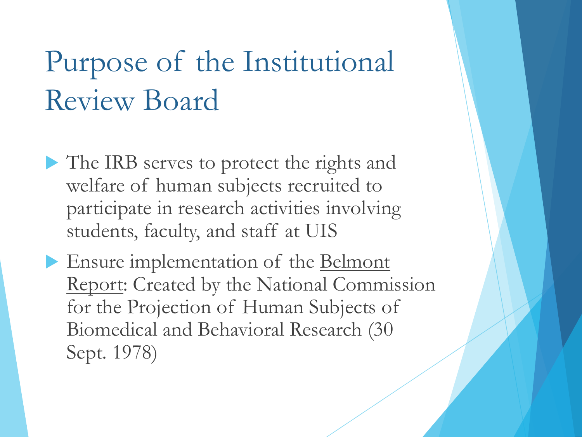# Purpose of the Institutional Review Board

- The IRB serves to protect the rights and welfare of human subjects recruited to participate in research activities involving students, faculty, and staff at UIS
- Ensure implementation of the Belmont Report: Created by the National Commission for the Projection of Human Subjects of Biomedical and Behavioral Research (30 Sept. 1978)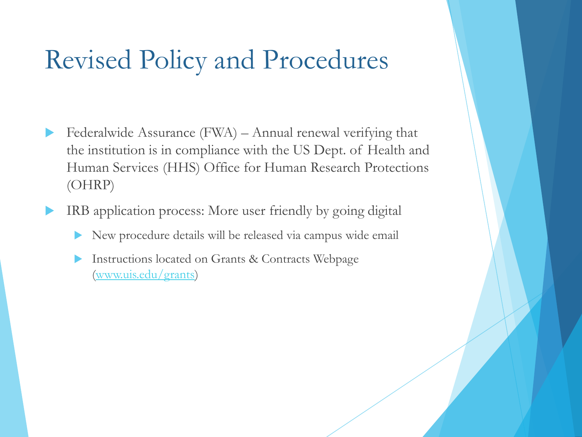### Revised Policy and Procedures

- Federalwide Assurance (FWA) Annual renewal verifying that the institution is in compliance with the US Dept. of Health and Human Services (HHS) Office for Human Research Protections (OHRP)
- IRB application process: More user friendly by going digital
	- New procedure details will be released via campus wide email
	- Instructions located on Grants & Contracts Webpage [\(www.uis.edu/grants\)](http://www.uis.edu/grants)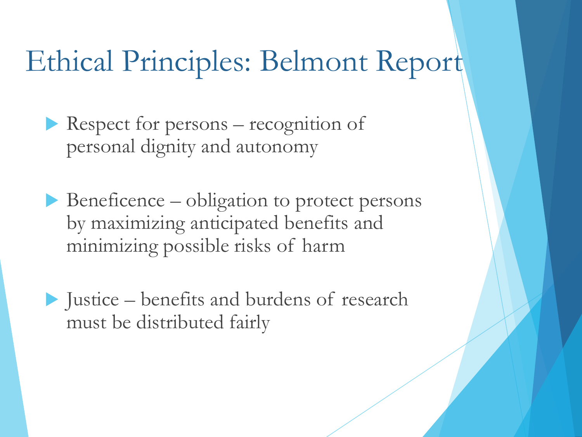# Ethical Principles: Belmont Report

Respect for persons  $-$  recognition of personal dignity and autonomy

 $\blacktriangleright$  Beneficence – obligation to protect persons by maximizing anticipated benefits and minimizing possible risks of harm

 $\blacktriangleright$  Justice – benefits and burdens of research must be distributed fairly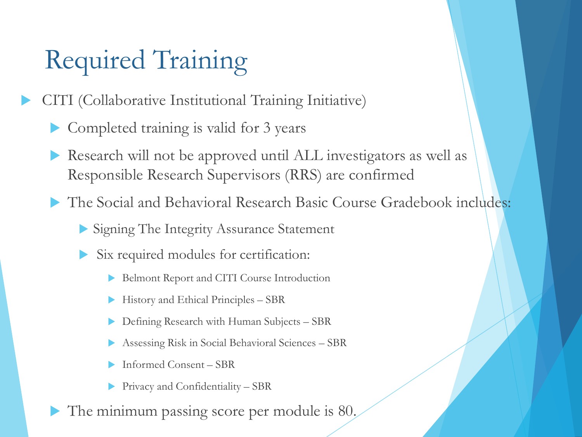# Required Training

CITI (Collaborative Institutional Training Initiative)

- Completed training is valid for 3 years
- Research will not be approved until ALL investigators as well as Responsible Research Supervisors (RRS) are confirmed
- The Social and Behavioral Research Basic Course Gradebook includes:
	- Signing The Integrity Assurance Statement
	- Six required modules for certification:
		- Belmont Report and CITI Course Introduction
		- $\blacktriangleright$  History and Ethical Principles SBR
		- Defining Research with Human Subjects SBR
		- Assessing Risk in Social Behavioral Sciences SBR
		- Informed Consent SBR
		- $\blacktriangleright$  Privacy and Confidentiality SBR
- The minimum passing score per module is 80.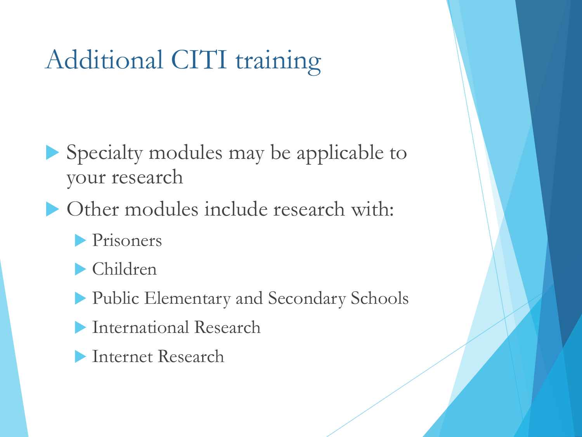# Additional CITI training

- $\blacktriangleright$  Specialty modules may be applicable to your research
- $\triangleright$  Other modules include research with:
	- **Prisoners**
	- $\blacktriangleright$  Children
	- **Public Elementary and Secondary Schools**
	- **International Research**
	- **Internet Research**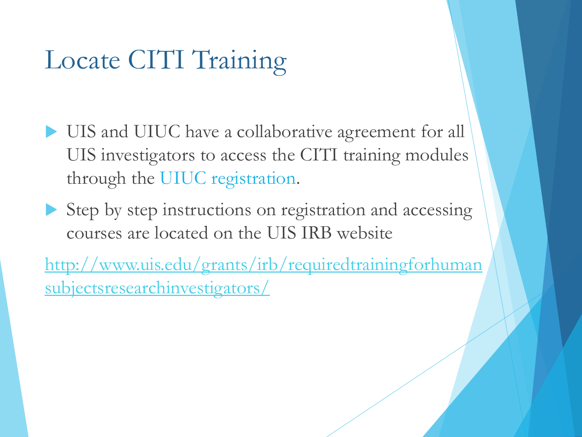## Locate CITI Training

- UIS and UIUC have a collaborative agreement for all UIS investigators to access the CITI training modules through the UIUC registration.
- $\blacktriangleright$  Step by step instructions on registration and accessing courses are located on the UIS IRB website

[http://www.uis.edu/grants/irb/requiredtrainingforhuman](http://www.uis.edu/grants/irb/requiredtrainingforhumansubjectsresearchinvestigators/) subjectsresearchinvestigators/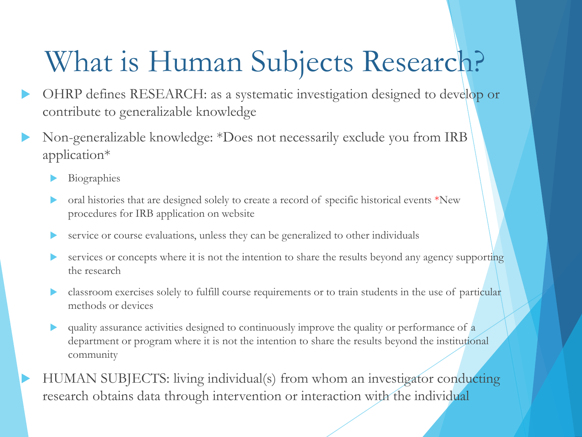# What is Human Subjects Research?

- OHRP defines RESEARCH: as a systematic investigation designed to develop or contribute to generalizable knowledge
- Non-generalizable knowledge: \*Does not necessarily exclude you from IRB application\*
	- Biographies
	- $\triangleright$  oral histories that are designed solely to create a record of specific historical events \*New procedures for IRB application on website
	- service or course evaluations, unless they can be generalized to other individuals
	- services or concepts where it is not the intention to share the results beyond any agency supporting the research
	- classroom exercises solely to fulfill course requirements or to train students in the use of particular methods or devices
	- quality assurance activities designed to continuously improve the quality or performance of  $\alpha$ department or program where it is not the intention to share the results beyond the institutional community

HUMAN SUBJECTS: living individual(s) from whom an investigator conducting research obtains data through intervention or interaction with the individual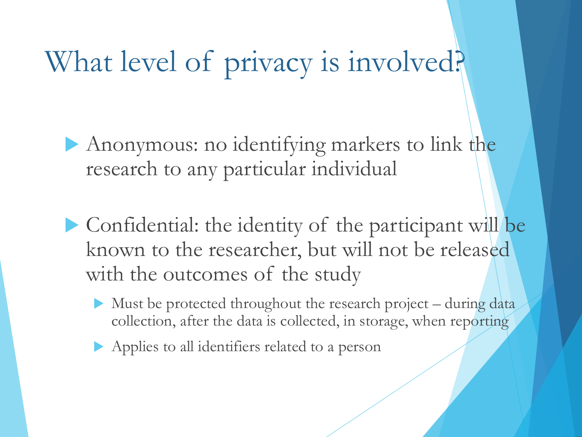# What level of privacy is involved?

- Anonymous: no identifying markers to link the research to any particular individual
- $\blacktriangleright$  Confidential: the identity of the participant will be known to the researcher, but will not be released with the outcomes of the study
	- Must be protected throughout the research project during data collection, after the data is collected, in storage, when reporting
	- Applies to all identifiers related to a person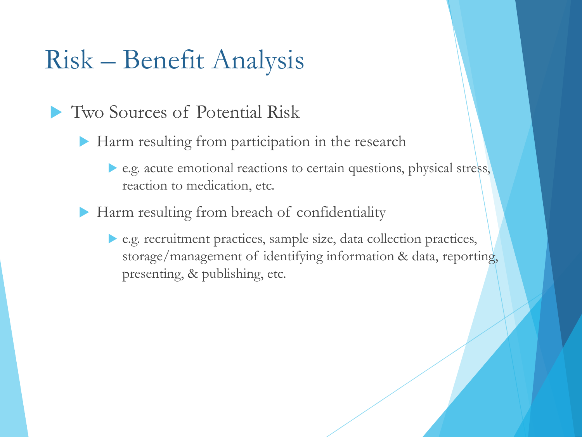### Risk – Benefit Analysis

- **Two Sources of Potential Risk** 
	- $\blacktriangleright$  Harm resulting from participation in the research
		- e.g. acute emotional reactions to certain questions, physical stress, reaction to medication, etc.
	- $\blacktriangleright$  Harm resulting from breach of confidentiality
		- u e.g. recruitment practices, sample size, data collection practices, storage/management of identifying information & data, reporting, presenting, & publishing, etc.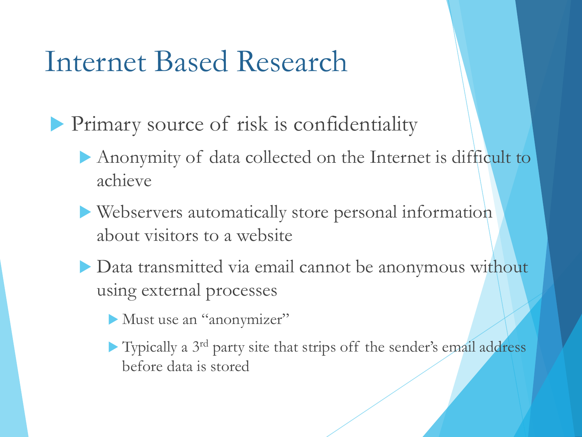## Internet Based Research

- **Primary source of risk is confidentiality** 
	- Anonymity of data collected on the Internet is difficult to achieve
	- $\blacktriangleright$  Webservers automatically store personal information about visitors to a website
	- Data transmitted via email cannot be anonymous without using external processes
		- Must use an "anonymizer"
		- $\blacktriangleright$  Typically a 3<sup>rd</sup> party site that strips off the sender's email address before data is stored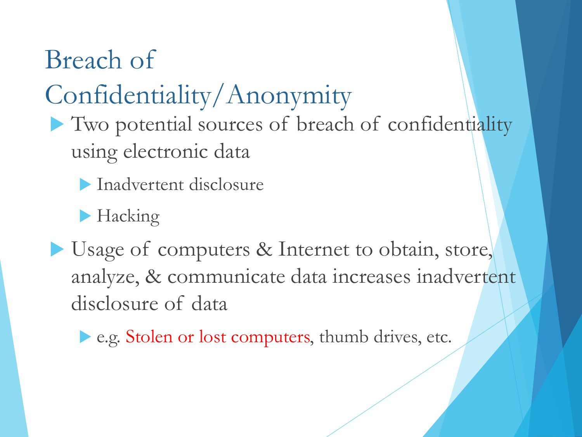Breach of Confidentiality/Anonymity

- I Two potential sources of breach of confidentiality using electronic data
	- **Inadvertent disclosure**
	- $\blacktriangleright$  Hacking
- Usage of computers & Internet to obtain, store, analyze, & communicate data increases inadvertent disclosure of data
	- e.g. Stolen or lost computers, thumb drives, etc.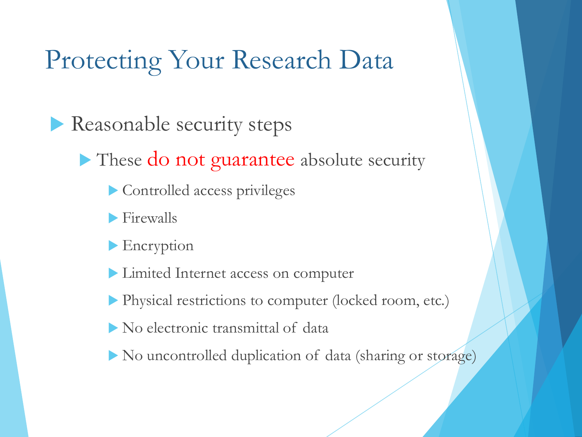### Protecting Your Research Data

Reasonable security steps

 $\blacktriangleright$  These do not guarantee absolute security

- $\triangleright$  Controlled access privileges
- $\blacktriangleright$  Firewalls
- $\blacktriangleright$  Encryption
- **Limited Internet access on computer**
- u Physical restrictions to computer (locked room, etc.)
- No electronic transmittal of data
- $\blacktriangleright$  No uncontrolled duplication of data (sharing or storage)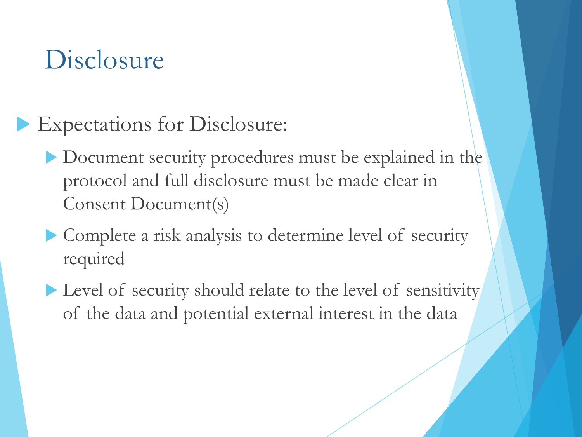### Disclosure

- Expectations for Disclosure:
	- Document security procedures must be explained in the protocol and full disclosure must be made clear in Consent Document(s)
	- $\blacktriangleright$  Complete a risk analysis to determine level of security required
	- $\blacktriangleright$  Level of security should relate to the level of sensitivity of the data and potential external interest in the data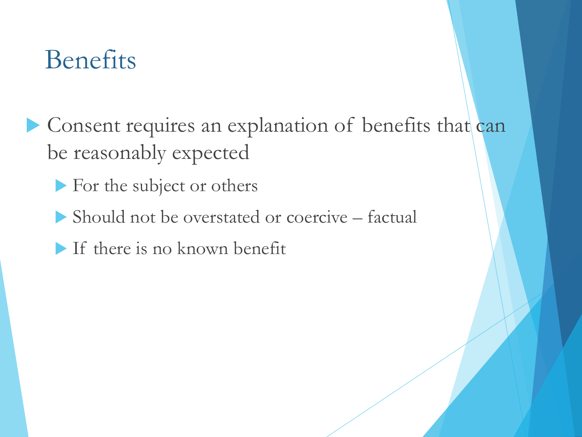### Benefits

- Consent requires an explanation of benefits that can be reasonably expected
	- For the subject or others
	- $\blacktriangleright \text{ Should not be overstated or coercive } \text{ factorial}$
	- $\blacktriangleright$  If there is no known benefit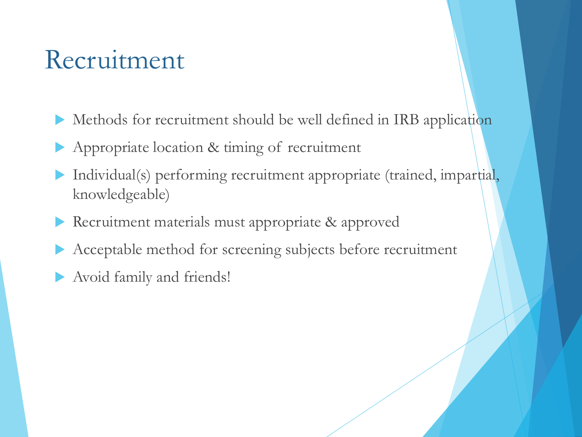### Recruitment

- Methods for recruitment should be well defined in IRB application
- Appropriate location & timing of recruitment
- Individual(s) performing recruitment appropriate (trained, impartial, knowledgeable)
- Recruitment materials must appropriate & approved
- Acceptable method for screening subjects before recruitment
- Avoid family and friends!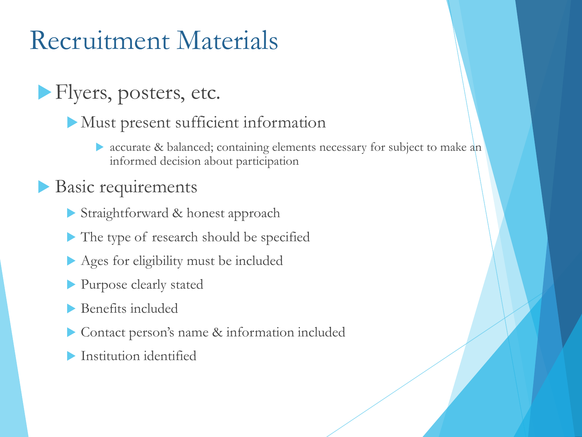## Recruitment Materials

### **Flyers, posters, etc.**

- $\blacktriangleright$  Must present sufficient information
	- accurate & balanced; containing elements necessary for subject to make an informed decision about participation

#### Basic requirements

- Straightforward & honest approach
- $\blacktriangleright$  The type of research should be specified
- $\blacktriangleright$  Ages for eligibility must be included
- lacktriangleright Purpose clearly stated
- $\blacktriangleright$  Benefits included
- Contact person's name & information included
- $\blacksquare$  Institution identified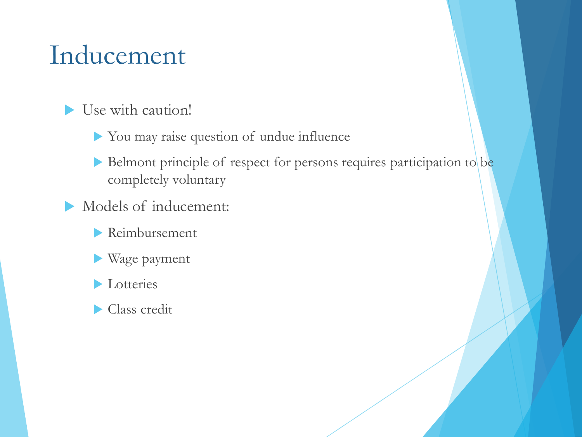### Inducement

- $\blacktriangleright$  Use with caution!
	- $\blacktriangleright$  You may raise question of undue influence
	- $\blacktriangleright$  Belmont principle of respect for persons requires participation to be completely voluntary
- Models of inducement:
	- $\blacktriangleright$  Reimbursement
	- Wage payment
	- Lotteries
	- $\blacktriangleright$  Class credit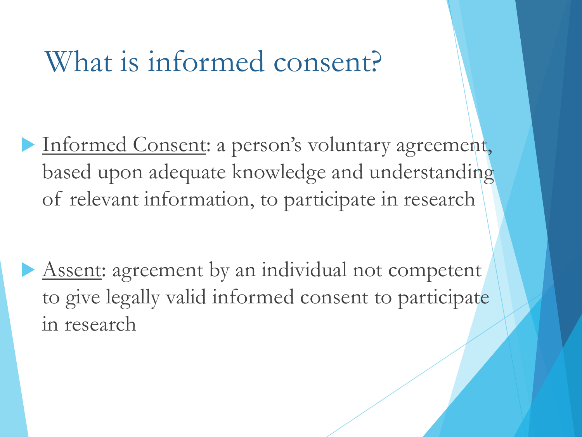## What is informed consent?

Informed Consent: a person's voluntary agreement, based upon adequate knowledge and understanding of relevant information, to participate in research

Assent: agreement by an individual not competent to give legally valid informed consent to participate in research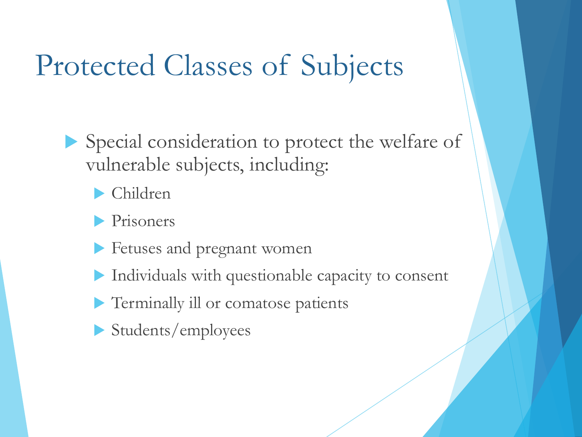# Protected Classes of Subjects

Special consideration to protect the welfare of vulnerable subjects, including:

Children

 $\blacktriangleright$  Prisoners

**Exercise Fetuses and pregnant women** 

 $\blacktriangleright$  Individuals with questionable capacity to consent

**Terminally ill or comatose patients** 

 $\blacktriangleright$  Students/employees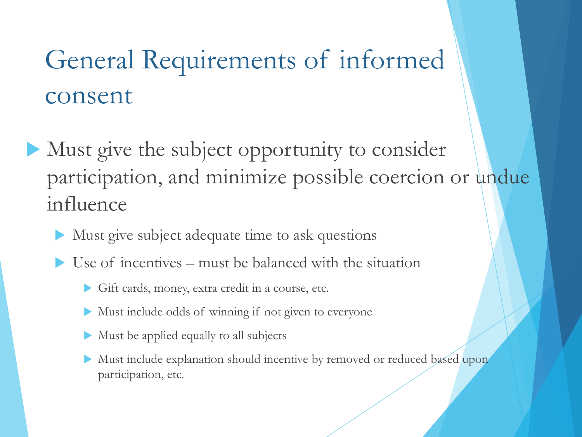# General Requirements of informed consent

- $\blacktriangleright$  Must give the subject opportunity to consider participation, and minimize possible coercion or undue influence
	- Must give subject adequate time to ask questions
	- Use of incentives must be balanced with the situation
		- Gift cards, money, extra credit in a course, etc.
		- $\blacktriangleright$  Must include odds of winning if not given to everyone
		- $\blacktriangleright$  Must be applied equally to all subjects
		- Must include explanation should incentive by removed or reduced based upon participation, etc.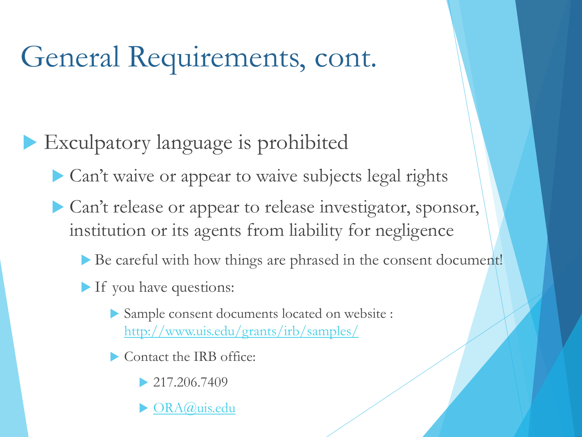# General Requirements, cont.

### $\blacktriangleright$  Exculpatory language is prohibited

Can't waive or appear to waive subjects legal rights

- Can't release or appear to release investigator, sponsor, institution or its agents from liability for negligence
	- $\triangleright$  Be careful with how things are phrased in the consent document!
	- $\blacktriangleright$  If you have questions:
		- u Sample consent documents located on website : <http://www.uis.edu/grants/irb/samples/>
		- $\blacktriangleright$  Contact the IRB office:
			- $\geq 217.206.7409$
			- [ORA@uis.edu](mailto:ORA@uis.edu)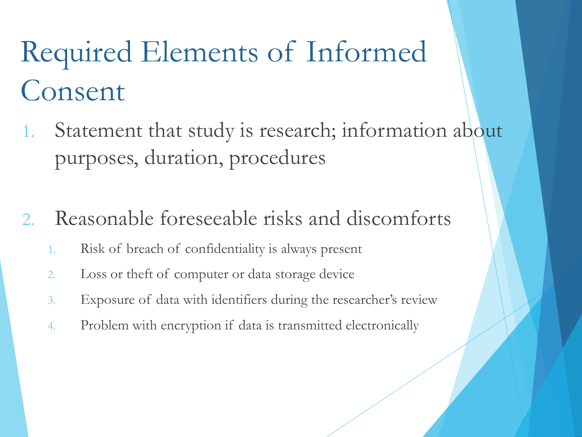- 1. Statement that study is research; information about purposes, duration, procedures
- 2. Reasonable foreseeable risks and discomforts
	- 1. Risk of breach of confidentiality is always present
	- 2. Loss or theft of computer or data storage device
	- 3. Exposure of data with identifiers during the researcher's review
	- 4. Problem with encryption if data is transmitted electronically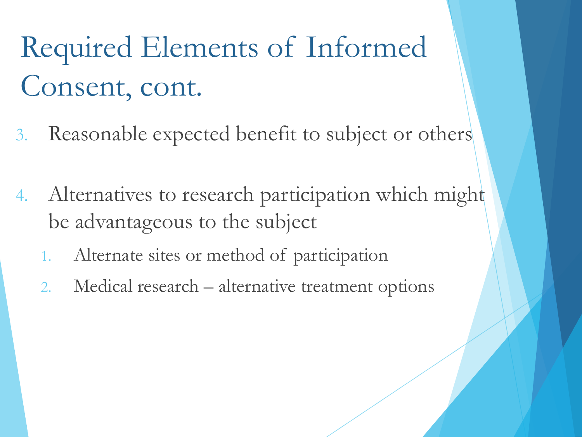- 3. Reasonable expected benefit to subject or others
- 4. Alternatives to research participation which might be advantageous to the subject
	- 1. Alternate sites or method of participation
	- 2. Medical research alternative treatment options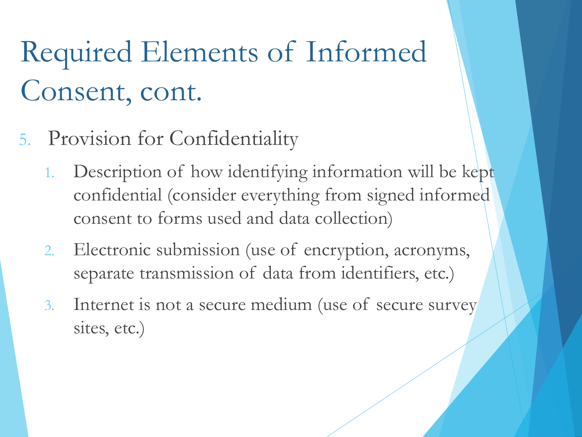- 5. Provision for Confidentiality
	- 1. Description of how identifying information will be kept confidential (consider everything from signed informed consent to forms used and data collection)
	- 2. Electronic submission (use of encryption, acronyms, separate transmission of data from identifiers, etc.)
	- 3. Internet is not a secure medium (use of secure survey sites, etc.)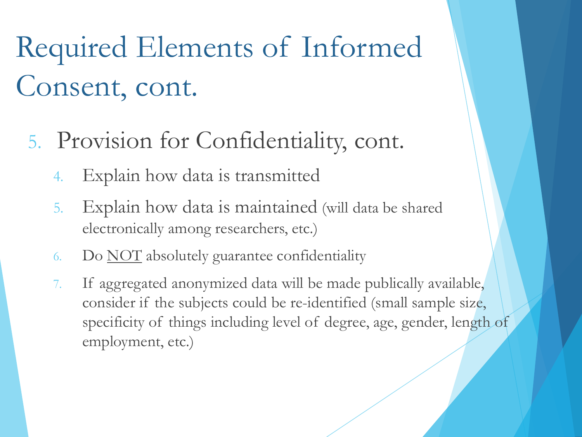- 5. Provision for Confidentiality, cont.
	- 4. Explain how data is transmitted
	- 5. Explain how data is maintained (will data be shared electronically among researchers, etc.)
	- 6. Do NOT absolutely guarantee confidentiality
	- 7. If aggregated anonymized data will be made publically available, consider if the subjects could be re-identified (small sample size, specificity of things including level of degree, age, gender, length of employment, etc.)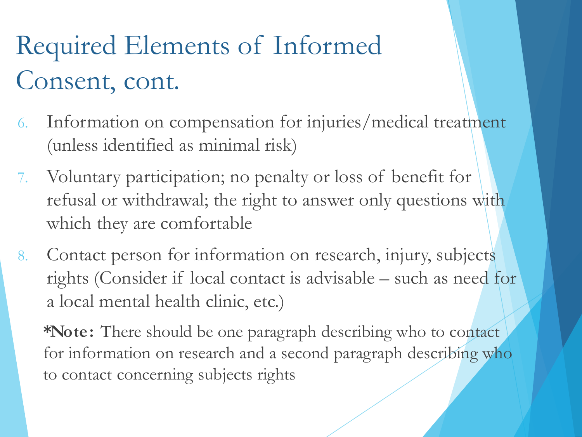- 6. Information on compensation for injuries/medical treatment (unless identified as minimal risk)
- 7. Voluntary participation; no penalty or loss of benefit for refusal or withdrawal; the right to answer only questions with which they are comfortable
- 8. Contact person for information on research, injury, subjects rights (Consider if local contact is advisable – such as need for a local mental health clinic, etc.)

**\*Note:** There should be one paragraph describing who to contact for information on research and a second paragraph describing who to contact concerning subjects rights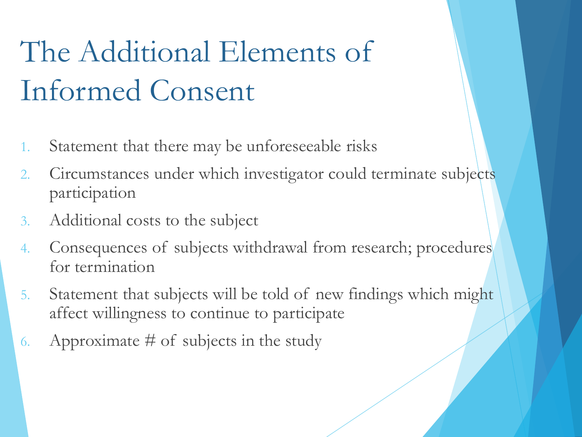# The Additional Elements of Informed Consent

- 1. Statement that there may be unforeseeable risks
- 2. Circumstances under which investigator could terminate subjects participation
- 3. Additional costs to the subject
- 4. Consequences of subjects withdrawal from research; procedures for termination
- 5. Statement that subjects will be told of new findings which might affect willingness to continue to participate
- 6. Approximate  $#$  of subjects in the study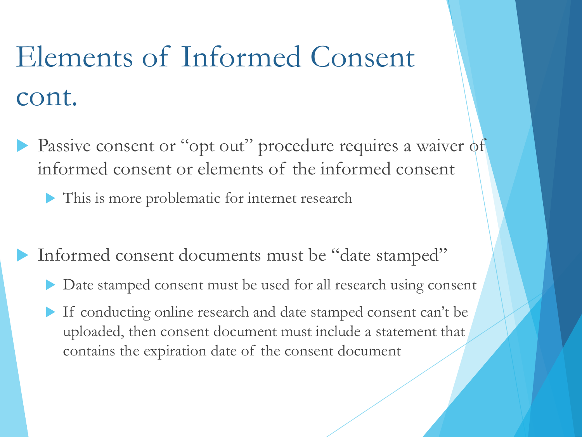# Elements of Informed Consent cont.

- Passive consent or "opt out" procedure requires a waiver of informed consent or elements of the informed consent
	- $\blacktriangleright$  This is more problematic for internet research
- Informed consent documents must be "date stamped"
	- Date stamped consent must be used for all research using consent
	- If conducting online research and date stamped consent can't be uploaded, then consent document must include a statement that contains the expiration date of the consent document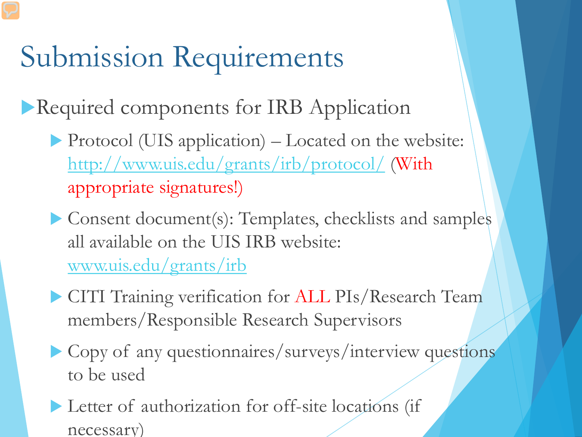# Submission Requirements

Required components for IRB Application

- Protocol (UIS application)  $-$  Located on the website: <http://www.uis.edu/grants/irb/protocol/> (With appropriate signatures!)
- $\blacktriangleright$  Consent document(s): Templates, checklists and samples all available on the UIS IRB website: [www.uis.edu/grants/irb](http://www.uis.edu/grants/irb)
- **CITI Training verification for ALL PIs/Research Team** members/Responsible Research Supervisors
- $\triangleright$  Copy of any questionnaires/surveys/interview questions to be used
- $\blacktriangleright$  Letter of authorization for off-site locations (if necessary)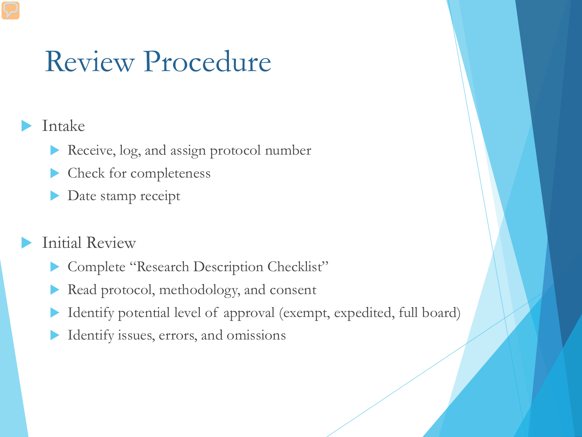## Review Procedure

#### Intake

- Receive, log, and assign protocol number
- Check for completeness
- Date stamp receipt

#### **Initial Review**

- Complete "Research Description Checklist"
- Read protocol, methodology, and consent
- Identify potential level of approval (exempt, expedited, full board)
- Identify issues, errors, and omissions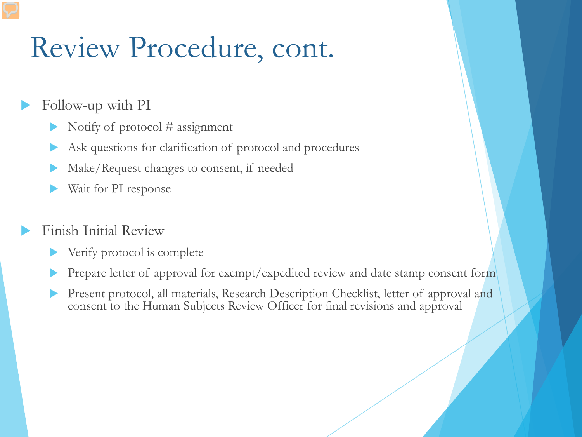# Review Procedure, cont.

- Follow-up with PI
	- Notify of protocol  $#$  assignment
	- Ask questions for clarification of protocol and procedures
	- Make/Request changes to consent, if needed
	- Wait for PI response

#### Finish Initial Review

- Verify protocol is complete
- Prepare letter of approval for exempt/expedited review and date stamp consent form
- Present protocol, all materials, Research Description Checklist, letter of approval and consent to the Human Subjects Review Officer for final revisions and approval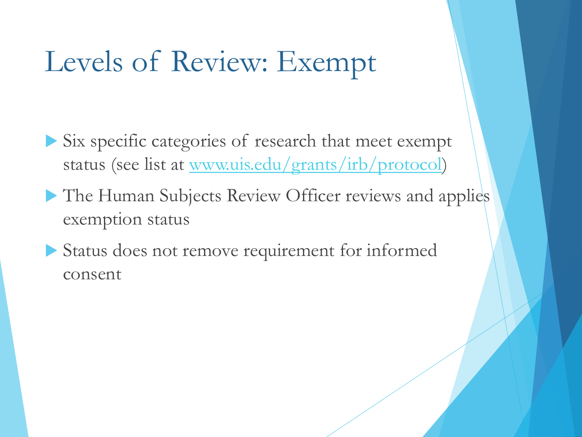# Levels of Review: Exempt

 $\blacktriangleright$  Six specific categories of research that meet exempt status (see list at [www.uis.edu/grants/irb/protocol\)](http://www.uis.edu/grants/irb/protocol)

- The Human Subjects Review Officer reviews and applies exemption status
- $\blacktriangleright$  Status does not remove requirement for informed consent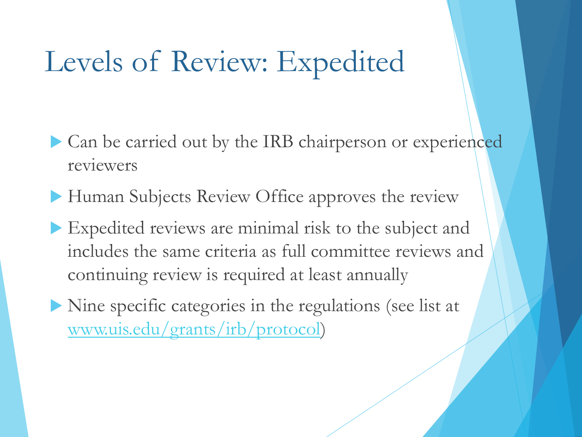# Levels of Review: Expedited

- Can be carried out by the IRB chairperson or experienced reviewers
- Human Subjects Review Office approves the review
- $\blacktriangleright$  Expedited reviews are minimal risk to the subject and includes the same criteria as full committee reviews and continuing review is required at least annually
- $\triangleright$  Nine specific categories in the regulations (see list at [www.uis.edu/grants/irb/protocol\)](http://www.uis.edu/grants/irb/protocol)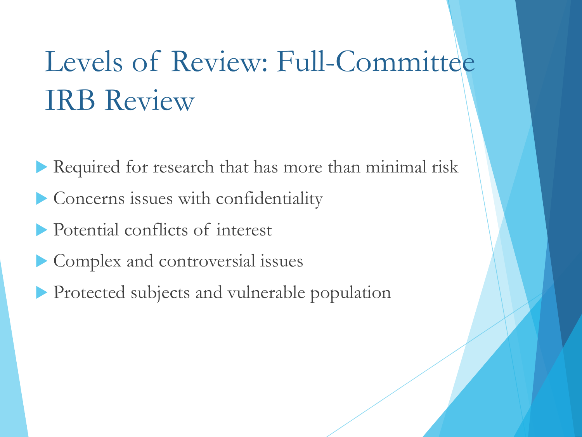# Levels of Review: Full-Committee IRB Review

- $\blacktriangleright$  Required for research that has more than minimal risk
- $\blacktriangleright$  Concerns issues with confidentiality
- lacktriangleright Potential conflicts of interest
- $\blacktriangleright$  Complex and controversial issues
- **Protected subjects and vulnerable population**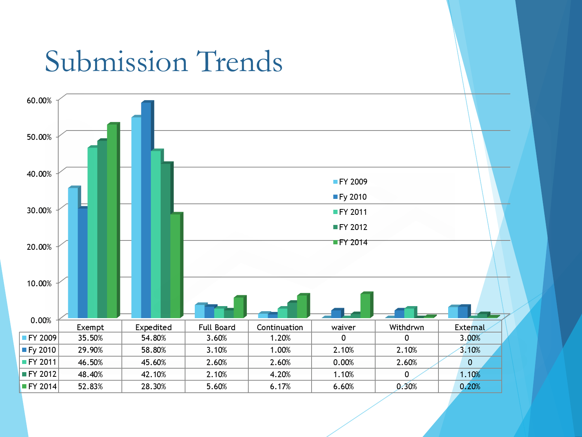# Submission Trends

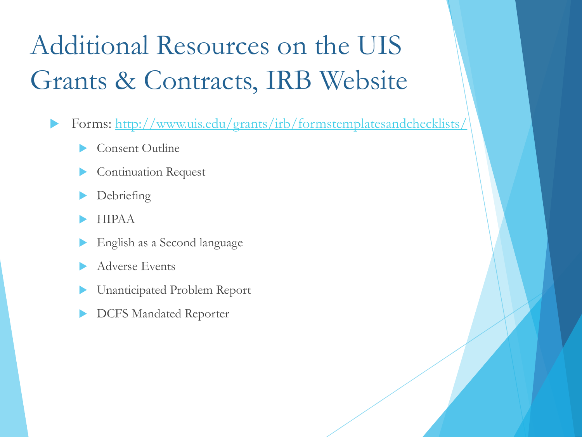# Additional Resources on the UIS Grants & Contracts, IRB Website

- Forms:<http://www.uis.edu/grants/irb/formstemplatesandchecklists/>
	- Consent Outline
	- Continuation Request
	- Debriefing
	- u HIPAA
	- English as a Second language
	- Adverse Events
	- Unanticipated Problem Report
	- DCFS Mandated Reporter